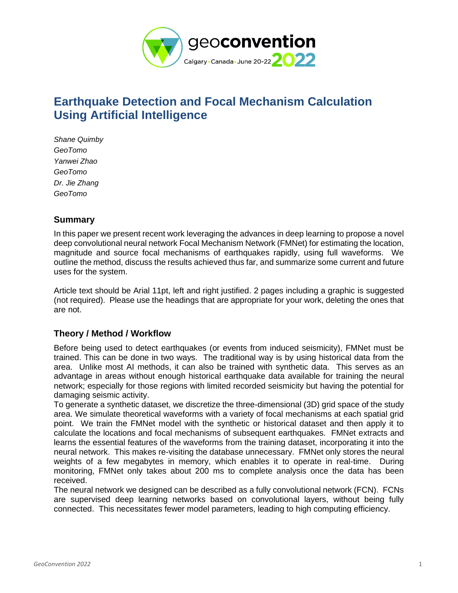

# **Earthquake Detection and Focal Mechanism Calculation Using Artificial Intelligence**

*Shane Quimby GeoTomo Yanwei Zhao GeoTomo Dr. Jie Zhang GeoTomo*

## **Summary**

In this paper we present recent work leveraging the advances in deep learning to propose a novel deep convolutional neural network Focal Mechanism Network (FMNet) for estimating the location, magnitude and source focal mechanisms of earthquakes rapidly, using full waveforms. We outline the method, discuss the results achieved thus far, and summarize some current and future uses for the system.

Article text should be Arial 11pt, left and right justified. 2 pages including a graphic is suggested (not required). Please use the headings that are appropriate for your work, deleting the ones that are not.

# **Theory / Method / Workflow**

Before being used to detect earthquakes (or events from induced seismicity), FMNet must be trained. This can be done in two ways. The traditional way is by using historical data from the area. Unlike most AI methods, it can also be trained with synthetic data. This serves as an advantage in areas without enough historical earthquake data available for training the neural network; especially for those regions with limited recorded seismicity but having the potential for damaging seismic activity.

To generate a synthetic dataset, we discretize the three-dimensional (3D) grid space of the study area. We simulate theoretical waveforms with a variety of focal mechanisms at each spatial grid point. We train the FMNet model with the synthetic or historical dataset and then apply it to calculate the locations and focal mechanisms of subsequent earthquakes. FMNet extracts and learns the essential features of the waveforms from the training dataset, incorporating it into the neural network. This makes re-visiting the database unnecessary. FMNet only stores the neural weights of a few megabytes in memory, which enables it to operate in real-time. During monitoring, FMNet only takes about 200 ms to complete analysis once the data has been received.

The neural network we designed can be described as a fully convolutional network (FCN). FCNs are supervised deep learning networks based on convolutional layers, without being fully connected. This necessitates fewer model parameters, leading to high computing efficiency.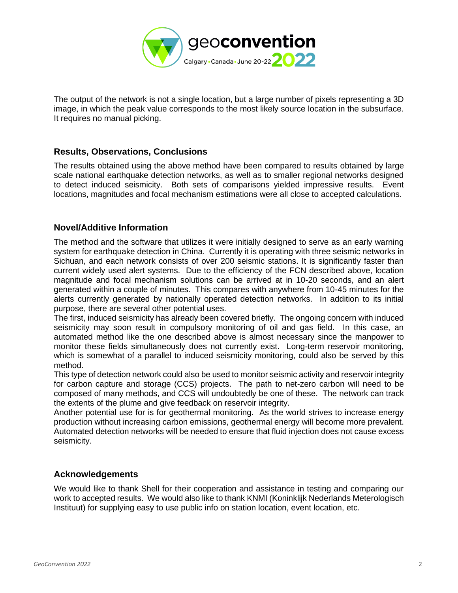

The output of the network is not a single location, but a large number of pixels representing a 3D image, in which the peak value corresponds to the most likely source location in the subsurface. It requires no manual picking.

### **Results, Observations, Conclusions**

The results obtained using the above method have been compared to results obtained by large scale national earthquake detection networks, as well as to smaller regional networks designed to detect induced seismicity. Both sets of comparisons yielded impressive results. Event locations, magnitudes and focal mechanism estimations were all close to accepted calculations.

#### **Novel/Additive Information**

The method and the software that utilizes it were initially designed to serve as an early warning system for earthquake detection in China. Currently it is operating with three seismic networks in Sichuan, and each network consists of over 200 seismic stations. It is significantly faster than current widely used alert systems. Due to the efficiency of the FCN described above, location magnitude and focal mechanism solutions can be arrived at in 10-20 seconds, and an alert generated within a couple of minutes. This compares with anywhere from 10-45 minutes for the alerts currently generated by nationally operated detection networks. In addition to its initial purpose, there are several other potential uses.

The first, induced seismicity has already been covered briefly. The ongoing concern with induced seismicity may soon result in compulsory monitoring of oil and gas field. In this case, an automated method like the one described above is almost necessary since the manpower to monitor these fields simultaneously does not currently exist. Long-term reservoir monitoring, which is somewhat of a parallel to induced seismicity monitoring, could also be served by this method.

This type of detection network could also be used to monitor seismic activity and reservoir integrity for carbon capture and storage (CCS) projects. The path to net-zero carbon will need to be composed of many methods, and CCS will undoubtedly be one of these. The network can track the extents of the plume and give feedback on reservoir integrity.

Another potential use for is for geothermal monitoring. As the world strives to increase energy production without increasing carbon emissions, geothermal energy will become more prevalent. Automated detection networks will be needed to ensure that fluid injection does not cause excess seismicity.

#### **Acknowledgements**

We would like to thank Shell for their cooperation and assistance in testing and comparing our work to accepted results. We would also like to thank KNMI (Koninklijk Nederlands Meterologisch Instituut) for supplying easy to use public info on station location, event location, etc.